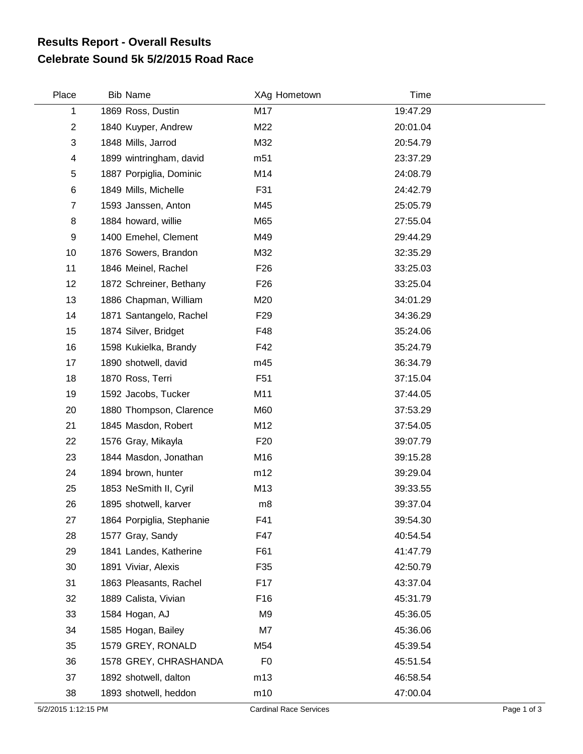## **Celebrate Sound 5k 5/2/2015 Road Race Results Report - Overall Results**

| Place          | <b>Bib Name</b>           | XAg Hometown    | Time     |
|----------------|---------------------------|-----------------|----------|
| 1              | 1869 Ross, Dustin         | M17             | 19:47.29 |
| $\overline{c}$ | 1840 Kuyper, Andrew       | M22             | 20:01.04 |
| 3              | 1848 Mills, Jarrod        | M32             | 20:54.79 |
| 4              | 1899 wintringham, david   | m <sub>51</sub> | 23:37.29 |
| 5              | 1887 Porpiglia, Dominic   | M14             | 24:08.79 |
| 6              | 1849 Mills, Michelle      | F31             | 24:42.79 |
| $\overline{7}$ | 1593 Janssen, Anton       | M45             | 25:05.79 |
| 8              | 1884 howard, willie       | M65             | 27:55.04 |
| 9              | 1400 Emehel, Clement      | M49             | 29:44.29 |
| 10             | 1876 Sowers, Brandon      | M32             | 32:35.29 |
| 11             | 1846 Meinel, Rachel       | F <sub>26</sub> | 33:25.03 |
| 12             | 1872 Schreiner, Bethany   | F <sub>26</sub> | 33:25.04 |
| 13             | 1886 Chapman, William     | M20             | 34:01.29 |
| 14             | 1871 Santangelo, Rachel   | F <sub>29</sub> | 34:36.29 |
| 15             | 1874 Silver, Bridget      | F48             | 35:24.06 |
| 16             | 1598 Kukielka, Brandy     | F42             | 35:24.79 |
| 17             | 1890 shotwell, david      | m45             | 36:34.79 |
| 18             | 1870 Ross, Terri          | F <sub>51</sub> | 37:15.04 |
| 19             | 1592 Jacobs, Tucker       | M11             | 37:44.05 |
| 20             | 1880 Thompson, Clarence   | M60             | 37:53.29 |
| 21             | 1845 Masdon, Robert       | M12             | 37:54.05 |
| 22             | 1576 Gray, Mikayla        | F <sub>20</sub> | 39:07.79 |
| 23             | 1844 Masdon, Jonathan     | M16             | 39:15.28 |
| 24             | 1894 brown, hunter        | m12             | 39:29.04 |
| 25             | 1853 NeSmith II, Cyril    | M13             | 39:33.55 |
| 26             | 1895 shotwell, karver     | m8              | 39:37.04 |
| 27             | 1864 Porpiglia, Stephanie | F41             | 39:54.30 |
| 28             | 1577 Gray, Sandy          | F47             | 40:54.54 |
| 29             | 1841 Landes, Katherine    | F61             | 41:47.79 |
| 30             | 1891 Viviar, Alexis       | F35             | 42:50.79 |
| 31             | 1863 Pleasants, Rachel    | F17             | 43:37.04 |
| 32             | 1889 Calista, Vivian      | F16             | 45:31.79 |
| 33             | 1584 Hogan, AJ            | M9              | 45:36.05 |
| 34             | 1585 Hogan, Bailey        | M7              | 45:36.06 |
| 35             | 1579 GREY, RONALD         | M54             | 45:39.54 |
| 36             | 1578 GREY, CHRASHANDA     | F <sub>0</sub>  | 45:51.54 |
| 37             | 1892 shotwell, dalton     | m13             | 46:58.54 |
| 38             | 1893 shotwell, heddon     | m10             | 47:00.04 |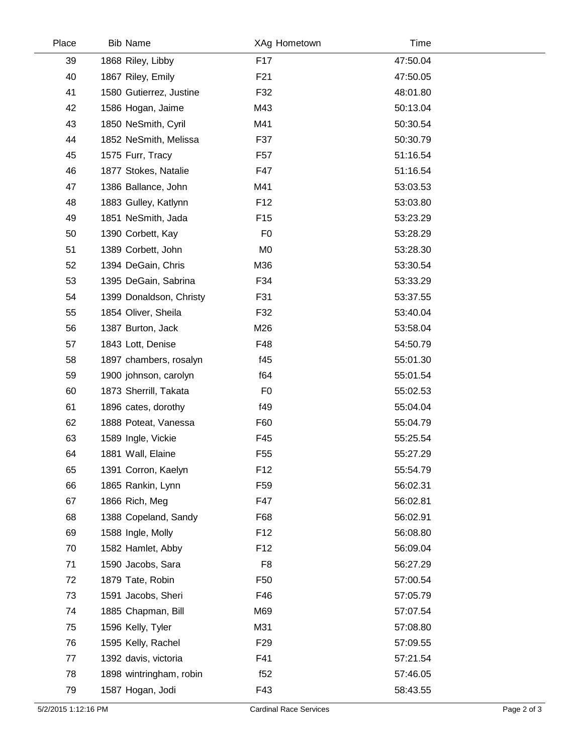| Place | <b>Bib Name</b>         | XAg Hometown    | Time     |  |
|-------|-------------------------|-----------------|----------|--|
| 39    | 1868 Riley, Libby       | F <sub>17</sub> | 47:50.04 |  |
| 40    | 1867 Riley, Emily       | F <sub>21</sub> | 47:50.05 |  |
| 41    | 1580 Gutierrez, Justine | F32             | 48:01.80 |  |
| 42    | 1586 Hogan, Jaime       | M43             | 50:13.04 |  |
| 43    | 1850 NeSmith, Cyril     | M41             | 50:30.54 |  |
| 44    | 1852 NeSmith, Melissa   | F37             | 50:30.79 |  |
| 45    | 1575 Furr, Tracy        | F <sub>57</sub> | 51:16.54 |  |
| 46    | 1877 Stokes, Natalie    | F47             | 51:16.54 |  |
| 47    | 1386 Ballance, John     | M41             | 53:03.53 |  |
| 48    | 1883 Gulley, Katlynn    | F <sub>12</sub> | 53:03.80 |  |
| 49    | 1851 NeSmith, Jada      | F <sub>15</sub> | 53:23.29 |  |
| 50    | 1390 Corbett, Kay       | F <sub>0</sub>  | 53:28.29 |  |
| 51    | 1389 Corbett, John      | M <sub>0</sub>  | 53:28.30 |  |
| 52    | 1394 DeGain, Chris      | M36             | 53:30.54 |  |
| 53    | 1395 DeGain, Sabrina    | F34             | 53:33.29 |  |
| 54    | 1399 Donaldson, Christy | F31             | 53:37.55 |  |
| 55    | 1854 Oliver, Sheila     | F32             | 53:40.04 |  |
| 56    | 1387 Burton, Jack       | M26             | 53:58.04 |  |
| 57    | 1843 Lott, Denise       | F48             | 54:50.79 |  |
| 58    | 1897 chambers, rosalyn  | f45             | 55:01.30 |  |
| 59    | 1900 johnson, carolyn   | f64             | 55:01.54 |  |
| 60    | 1873 Sherrill, Takata   | F <sub>0</sub>  | 55:02.53 |  |
| 61    | 1896 cates, dorothy     | f49             | 55:04.04 |  |
| 62    | 1888 Poteat, Vanessa    | F60             | 55:04.79 |  |
| 63    | 1589 Ingle, Vickie      | F45             | 55:25.54 |  |
| 64    | 1881 Wall, Elaine       | F <sub>55</sub> | 55:27.29 |  |
| 65    | 1391 Corron, Kaelyn     | F <sub>12</sub> | 55:54.79 |  |
| 66    | 1865 Rankin, Lynn       | F59             | 56:02.31 |  |
| 67    | 1866 Rich, Meg          | F47             | 56:02.81 |  |
| 68    | 1388 Copeland, Sandy    | F68             | 56:02.91 |  |
| 69    | 1588 Ingle, Molly       | F <sub>12</sub> | 56:08.80 |  |
| 70    | 1582 Hamlet, Abby       | F <sub>12</sub> | 56:09.04 |  |
| 71    | 1590 Jacobs, Sara       | F <sub>8</sub>  | 56:27.29 |  |
| 72    | 1879 Tate, Robin        | F <sub>50</sub> | 57:00.54 |  |
| 73    | 1591 Jacobs, Sheri      | F46             | 57:05.79 |  |
| 74    | 1885 Chapman, Bill      | M69             | 57:07.54 |  |
| 75    | 1596 Kelly, Tyler       | M31             | 57:08.80 |  |
| 76    | 1595 Kelly, Rachel      | F <sub>29</sub> | 57:09.55 |  |
| 77    | 1392 davis, victoria    | F41             | 57:21.54 |  |
| 78    | 1898 wintringham, robin | f52             | 57:46.05 |  |
| 79    | 1587 Hogan, Jodi        | F43             | 58:43.55 |  |